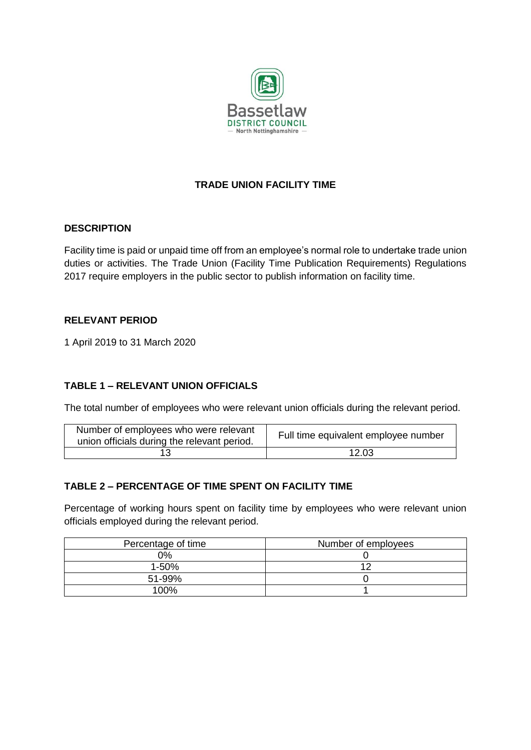

# **TRADE UNION FACILITY TIME**

#### **DESCRIPTION**

Facility time is paid or unpaid time off from an employee's normal role to undertake trade union duties or activities. The Trade Union (Facility Time Publication Requirements) Regulations 2017 require employers in the public sector to publish information on facility time.

#### **RELEVANT PERIOD**

1 April 2019 to 31 March 2020

## **TABLE 1 – RELEVANT UNION OFFICIALS**

The total number of employees who were relevant union officials during the relevant period.

| Number of employees who were relevant<br>union officials during the relevant period. | Full time equivalent employee number |
|--------------------------------------------------------------------------------------|--------------------------------------|
|                                                                                      | 12.03                                |

## **TABLE 2 – PERCENTAGE OF TIME SPENT ON FACILITY TIME**

Percentage of working hours spent on facility time by employees who were relevant union officials employed during the relevant period.

| Percentage of time | Number of employees |
|--------------------|---------------------|
| 0%                 |                     |
| $1 - 50%$          |                     |
| 51-99%             |                     |
| 100%               |                     |